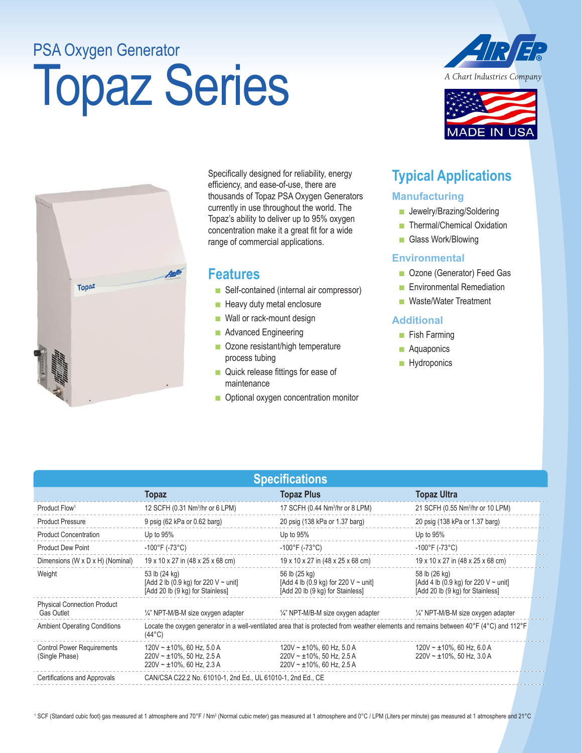## PSA Oxygen Generator

# Topaz Series



**ADE IN USA** 



Specifically designed for reliability, energy efficiency, and ease-of-use, there are thousands of Topaz PSA Oxygen Generators currently in use throughout the world. The Topaz's ability to deliver up to 95% oxygen concentration make it a great fit for a wide range of commercial applications.

#### **Features**

- Self-contained (internal air compressor)
- Heavy duty metal enclosure
- Wall or rack-mount design
- Advanced Engineering
- Ozone resistant/high temperature process tubing
- Quick release fittings for ease of maintenance
- Optional oxygen concentration monitor

### **Typical Applications**

#### **Manufacturing**

- Jewelry/Brazing/Soldering
- Thermal/Chemical Oxidation
- Glass Work/Blowing

#### **Environmental**

- Ozone (Generator) Feed Gas
- Environmental Remediation
- Waste/Water Treatment

#### **Additional**

- Fish Farming
- Aquaponics
- Hydroponics

| <b>Specifications</b>                                   |                                                                                                                   |                                                                                                                                        |                                                                                                |  |  |  |
|---------------------------------------------------------|-------------------------------------------------------------------------------------------------------------------|----------------------------------------------------------------------------------------------------------------------------------------|------------------------------------------------------------------------------------------------|--|--|--|
|                                                         | <b>Topaz</b>                                                                                                      | <b>Topaz Plus</b>                                                                                                                      | <b>Topaz Ultra</b>                                                                             |  |  |  |
| Product Flow <sup>1</sup>                               | 12 SCFH (0.31 Nm <sup>3</sup> /hr or 6 LPM)                                                                       | 17 SCFH (0.44 Nm <sup>3</sup> /hr or 8 LPM)                                                                                            | 21 SCFH (0.55 Nm <sup>3</sup> /hr or 10 LPM)                                                   |  |  |  |
| <b>Product Pressure</b>                                 | 9 psig (62 kPa or 0.62 barg)                                                                                      | 20 psig (138 kPa or 1.37 barg)                                                                                                         | 20 psig (138 kPa or 1.37 barg)                                                                 |  |  |  |
| <b>Product Concentration</b>                            | Up to $95%$                                                                                                       | Up to 95%                                                                                                                              | Up to $95%$                                                                                    |  |  |  |
| <b>Product Dew Point</b>                                | $-100^{\circ}$ F (-73 $^{\circ}$ C)                                                                               | $-100^{\circ}$ F (-73 $^{\circ}$ C)                                                                                                    | $-100^{\circ}$ F (-73 $^{\circ}$ C)                                                            |  |  |  |
| Dimensions (W x D x H) (Nominal)                        | 19 x 10 x 27 in (48 x 25 x 68 cm)                                                                                 | 19 x 10 x 27 in (48 x 25 x 68 cm)                                                                                                      | 19 x 10 x 27 in (48 x 25 x 68 cm)                                                              |  |  |  |
| Weight                                                  | 53 lb (24 kg)<br>[Add 2 lb (0.9 kg) for 220 V ~ unit]<br>[Add 20 lb (9 kg) for Stainless]                         | 56 lb (25 kg)<br>[Add 4 lb (0.9 kg) for 220 $V \sim$ unit]<br>[Add 20 lb (9 kg) for Stainless]                                         | 58 lb (26 kg)<br>[Add 4 lb (0.9 kg) for 220 V $\sim$ unit]<br>[Add 20 lb (9 kg) for Stainless] |  |  |  |
| <b>Physical Connection Product</b><br><b>Gas Outlet</b> | 1/4" NPT-M/B-M size oxygen adapter                                                                                | 1/4" NPT-M/B-M size oxygen adapter                                                                                                     | 1/4" NPT-M/B-M size oxygen adapter                                                             |  |  |  |
| <b>Ambient Operating Conditions</b>                     | $(44^{\circ}C)$                                                                                                   | Locate the oxygen generator in a well-ventilated area that is protected from weather elements and remains between 40°F (4°C) and 112°F |                                                                                                |  |  |  |
| <b>Control Power Requirements</b><br>(Single Phase)     | $120V \sim \pm 10\%$ , 60 Hz, 5.0 A<br>$220V \sim \pm 10\%$ , 50 Hz, 2.5 A<br>$220V \sim \pm 10\%$ , 60 Hz, 2.3 A | $120V \sim \pm 10\%$ , 60 Hz, 5.0 A<br>$220V \sim \pm 10\%$ , 50 Hz, 2.5 A<br>$220V \sim \pm 10\%$ , 60 Hz, 2.5 A                      | $120V \sim \pm 10\%$ , 60 Hz, 6.0 A<br>$220V \sim \pm 10\%$ , 50 Hz, 3.0 A                     |  |  |  |
| Certifications and Approvals                            | CAN/CSA C22.2 No. 61010-1, 2nd Ed., UL 61010-1, 2nd Ed., CE                                                       |                                                                                                                                        |                                                                                                |  |  |  |

<sup>1</sup> SCF (Standard cubic foot) gas measured at 1 atmosphere and 70°F / Nm3 (Normal cubic meter) gas measured at 1 atmosphere and per minute) gas measured at 1 atmosphere and 21°C